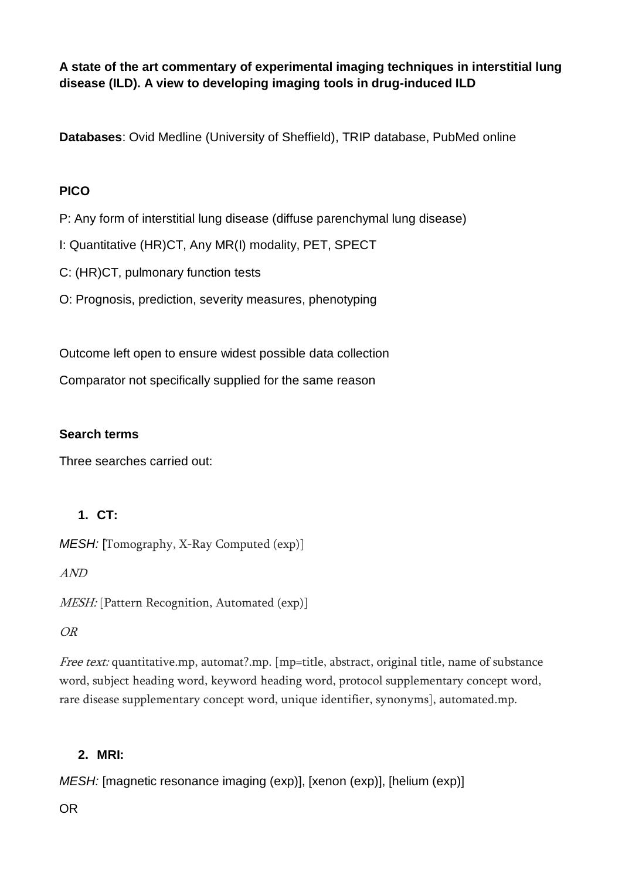**A state of the art commentary of experimental imaging techniques in interstitial lung disease (ILD). A view to developing imaging tools in drug-induced ILD**

**Databases**: Ovid Medline (University of Sheffield), TRIP database, PubMed online

# **PICO**

P: Any form of interstitial lung disease (diffuse parenchymal lung disease)

I: Quantitative (HR)CT, Any MR(I) modality, PET, SPECT

C: (HR)CT, pulmonary function tests

O: Prognosis, prediction, severity measures, phenotyping

Outcome left open to ensure widest possible data collection

Comparator not specifically supplied for the same reason

### **Search terms**

Three searches carried out:

# **1. CT:**

*MESH:* [Tomography, X-Ray Computed (exp)]

AND

MESH: [Pattern Recognition, Automated (exp)]

#### OR

Free text: quantitative.mp, automat?.mp. [mp=title, abstract, original title, name of substance word, subject heading word, keyword heading word, protocol supplementary concept word, rare disease supplementary concept word, unique identifier, synonyms], automated.mp.

# **2. MRI:**

*MESH:* [magnetic resonance imaging (exp)], [xenon (exp)], [helium (exp)]

# OR